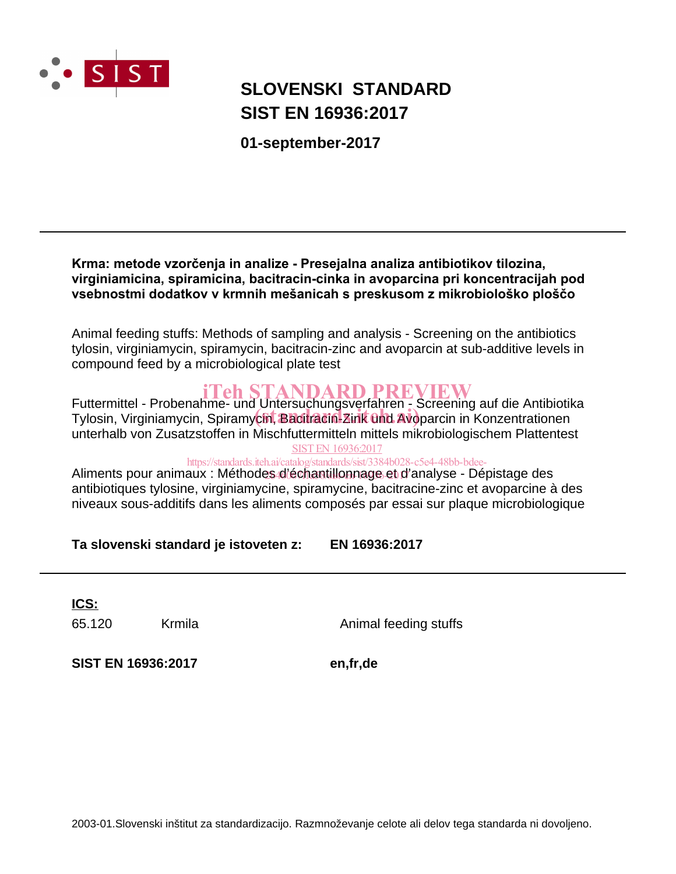

### **SIST EN 16936:2017 SLOVENSKI STANDARD**

**01-september-2017**

### Krma: metode vzorčenja in analize - Presejalna analiza antibiotikov tilozina, virginiamicina, spiramicina, bacitracin-cinka in avoparcina pri koncentracijah pod vsebnostmi dodatkov v krmnih mešanicah s preskusom z mikrobiološko ploščo

Animal feeding stuffs: Methods of sampling and analysis - Screening on the antibiotics tylosin, virginiamycin, spiramycin, bacitracin-zinc and avoparcin at sub-additive levels in compound feed by a microbiological plate test

Futtermittel - Probenahme- und Untersuchungsverfahren - Screening auf die Antibiotika iTeh STANDARD PREVIEW Tylosin, Virginiamycin, Spiramychi, Bacitracin-Zink und Avoparcin in Konzentrationen unterhalb von Zusatzstoffen in Mischfuttermitteln mittels mikrobiologischem Plattentest SIST EN 16936:2017

#### https://standards.iteh.ai/catalog/standards/sist/3384b028-c5e4-48bb-bdee-

Aliments pour animaux : Méthodes d'échantillonnage et d'analyse - Dépistage des antibiotiques tylosine, virginiamycine, spiramycine, bacitracine-zinc et avoparcine à des niveaux sous-additifs dans les aliments composés par essai sur plaque microbiologique

**Ta slovenski standard je istoveten z: EN 16936:2017**

**ICS:**

65.120 Krmila Animal feeding stuffs

**SIST EN 16936:2017 en,fr,de**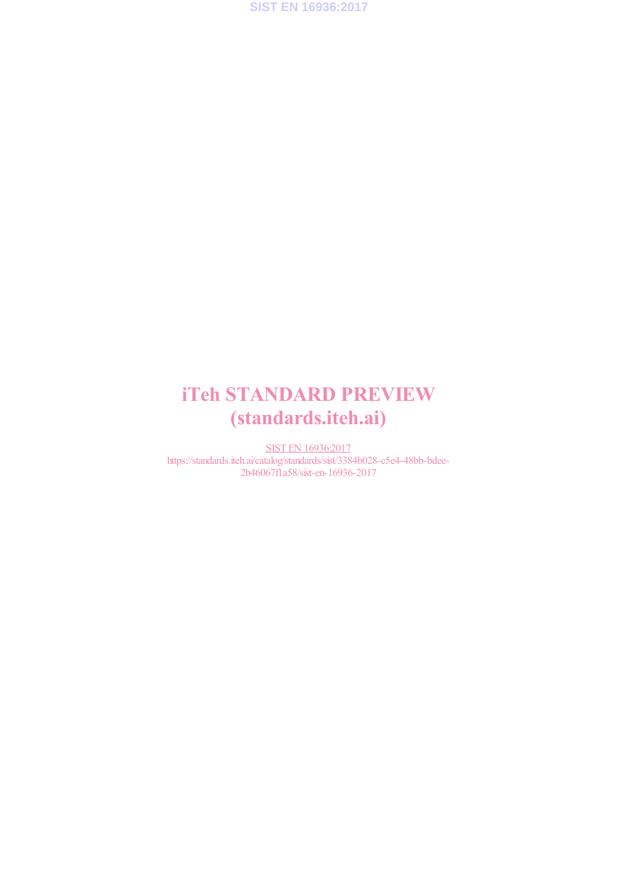

# iTeh STANDARD PREVIEW (standards.iteh.ai)

SIST EN 16936:2017 https://standards.iteh.ai/catalog/standards/sist/3384b028-c5e4-48bb-bdee-2b46067f1a58/sist-en-16936-2017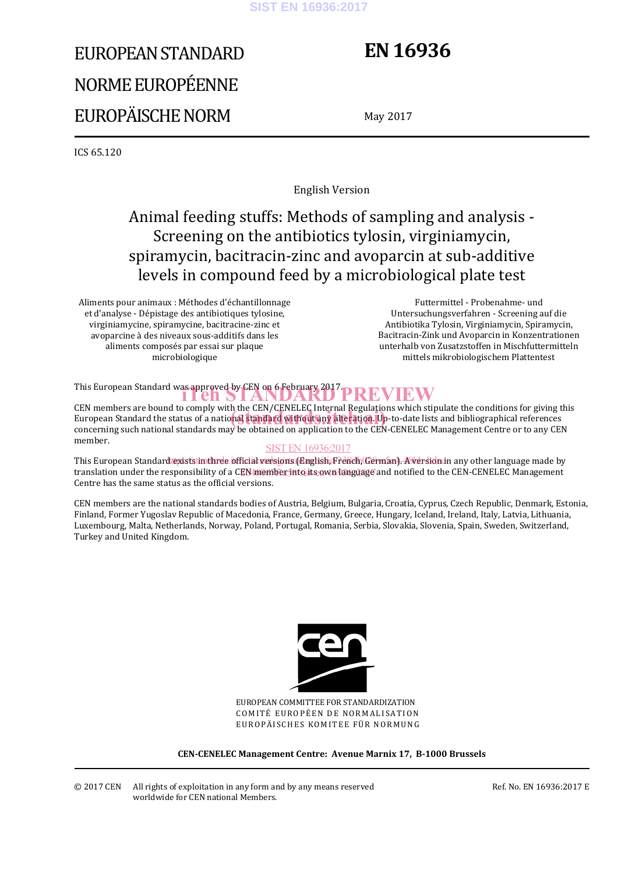#### **SIST EN 16936:2017**

# EUROPEAN STANDARD NORME EUROPÉENNE EUROPÄISCHE NORM

## **EN 16936**

May 2017

ICS 65.120

English Version

### Animal feeding stuffs: Methods of sampling and analysis - Screening on the antibiotics tylosin, virginiamycin, spiramycin, bacitracin-zinc and avoparcin at sub-additive levels in compound feed by a microbiological plate test

Aliments pour animaux : Méthodes d'échantillonnage et d'analyse - Dépistage des antibiotiques tylosine, virginiamycine, spiramycine, bacitracine-zinc et avoparcine à des niveaux sous-additifs dans les aliments composés par essai sur plaque microbiologique

 Futtermittel - Probenahme- und Untersuchungsverfahren - Screening auf die Antibiotika Tylosin, Virginiamycin, Spiramycin, Bacitracin-Zink und Avoparcin in Konzentrationen unterhalb von Zusatzstoffen in Mischfuttermitteln mittels mikrobiologischem Plattentest

This European Standard was approved by CEN on 6 February 2017 **PREVIEW** 

CEN members are bound to comply with the CEN/CENELEC Internal Regulations which stipulate the conditions for giving this CEN members are bound to comply with the CEN/CENELEC internal Regulations which supulate the conditions for giving t<br>European Standard the status of a national standard without any alteration. Up-to-date lists and bibliogr concerning such national standards may be obtained on application to the CEN-CENELEC Management Centre or to any CEN member.

#### SIST EN 16936:2017

This European Standard exists imthree official versions (English, French, German). A version in any other language made by translation under the responsibility of a CEN member into its own language and notified to the CEN-CENELEC Management Centre has the same status as the official versions.

CEN members are the national standards bodies of Austria, Belgium, Bulgaria, Croatia, Cyprus, Czech Republic, Denmark, Estonia, Finland, Former Yugoslav Republic of Macedonia, France, Germany, Greece, Hungary, Iceland, Ireland, Italy, Latvia, Lithuania, Luxembourg, Malta, Netherlands, Norway, Poland, Portugal, Romania, Serbia, Slovakia, Slovenia, Spain, Sweden, Switzerland, Turkey and United Kingdom.



EUROPEAN COMMITTEE FOR STANDARDIZATION COMITÉ EUROPÉEN DE NORMALISATION EUROPÄISCHES KOMITEE FÜR NORMUNG

**CEN-CENELEC Management Centre: Avenue Marnix 17, B-1000 Brussels** 

© 2017 CEN All rights of exploitation in any form and by any means reserved worldwide for CEN national Members.

Ref. No. EN 16936:2017 E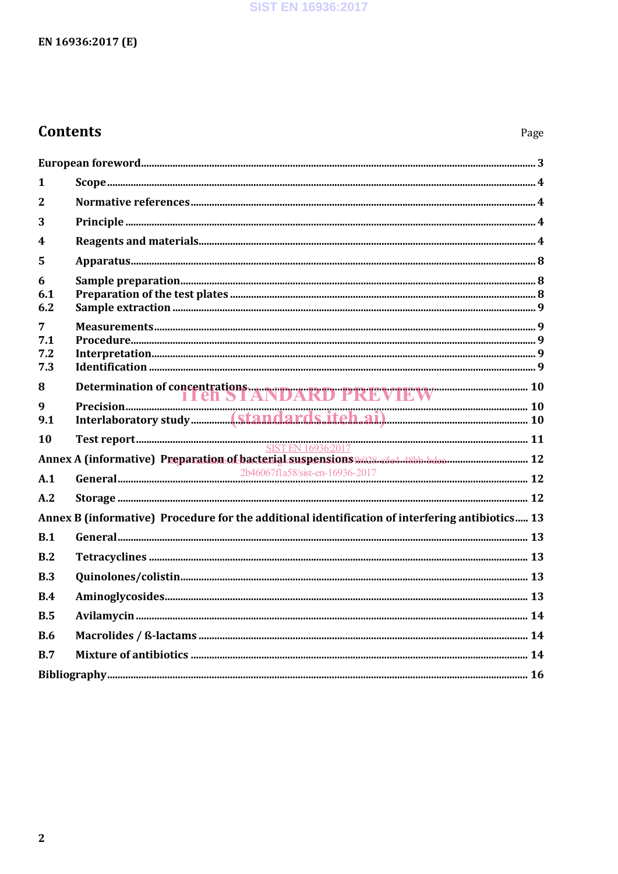### **Contents**

| 1                                                                                               |                                                                  |  |  |  |
|-------------------------------------------------------------------------------------------------|------------------------------------------------------------------|--|--|--|
| 2                                                                                               |                                                                  |  |  |  |
| 3                                                                                               |                                                                  |  |  |  |
| 4                                                                                               |                                                                  |  |  |  |
| 5                                                                                               |                                                                  |  |  |  |
| 6<br>6.1<br>6.2                                                                                 |                                                                  |  |  |  |
| 7                                                                                               |                                                                  |  |  |  |
| 7.1<br>7.2<br>7.3                                                                               |                                                                  |  |  |  |
| 8                                                                                               | Determination of concentrations<br><b>THEN BY ANDARD PREVIEW</b> |  |  |  |
| 9<br>9.1                                                                                        |                                                                  |  |  |  |
| 10                                                                                              |                                                                  |  |  |  |
| Annex A (informative) Preparation of bacterial suspensions that a seat 48bb bdee manumentum 12  |                                                                  |  |  |  |
| A.1                                                                                             |                                                                  |  |  |  |
| A.2                                                                                             |                                                                  |  |  |  |
| Annex B (informative) Procedure for the additional identification of interfering antibiotics 13 |                                                                  |  |  |  |
| R.1                                                                                             |                                                                  |  |  |  |
| R <sub>2</sub>                                                                                  |                                                                  |  |  |  |
| B.3                                                                                             |                                                                  |  |  |  |
| R.4                                                                                             |                                                                  |  |  |  |
| <b>B.5</b>                                                                                      |                                                                  |  |  |  |
| R.6                                                                                             |                                                                  |  |  |  |
| B.7                                                                                             |                                                                  |  |  |  |
|                                                                                                 |                                                                  |  |  |  |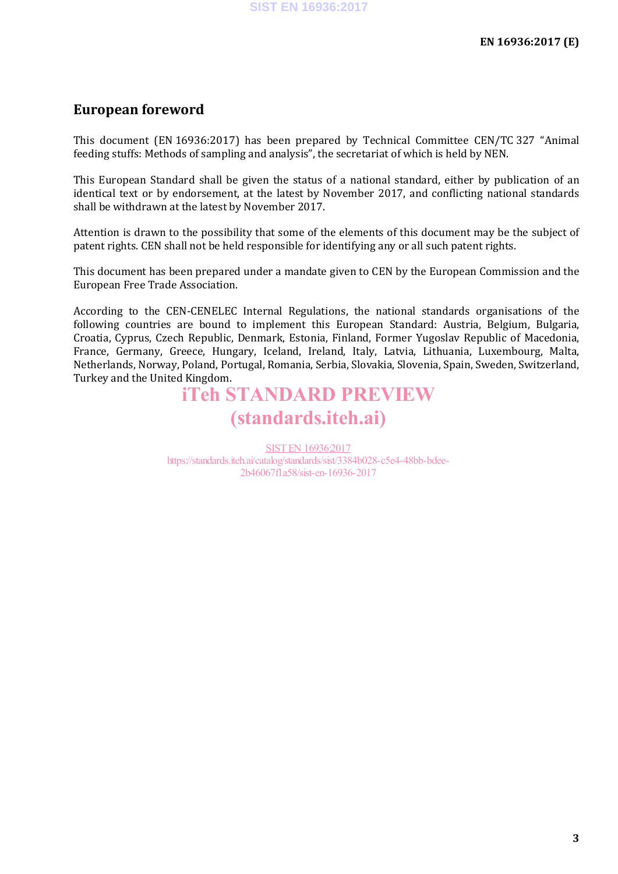### **European foreword**

This document (EN 16936:2017) has been prepared by Technical Committee CEN/TC 327 "Animal feeding stuffs: Methods of sampling and analysis", the secretariat of which is held by NEN.

This European Standard shall be given the status of a national standard, either by publication of an identical text or by endorsement, at the latest by November 2017, and conflicting national standards shall be withdrawn at the latest by November 2017.

Attention is drawn to the possibility that some of the elements of this document may be the subject of patent rights. CEN shall not be held responsible for identifying any or all such patent rights.

This document has been prepared under a mandate given to CEN by the European Commission and the European Free Trade Association.

According to the CEN-CENELEC Internal Regulations, the national standards organisations of the following countries are bound to implement this European Standard: Austria, Belgium, Bulgaria, Croatia, Cyprus, Czech Republic, Denmark, Estonia, Finland, Former Yugoslav Republic of Macedonia, France, Germany, Greece, Hungary, Iceland, Ireland, Italy, Latvia, Lithuania, Luxembourg, Malta, Netherlands, Norway, Poland, Portugal, Romania, Serbia, Slovakia, Slovenia, Spain, Sweden, Switzerland, Turkey and the United Kingdom.

# iTeh STANDARD PREVIEW (standards.iteh.ai)

SIST EN 16936:2017 https://standards.iteh.ai/catalog/standards/sist/3384b028-c5e4-48bb-bdee-2b46067f1a58/sist-en-16936-2017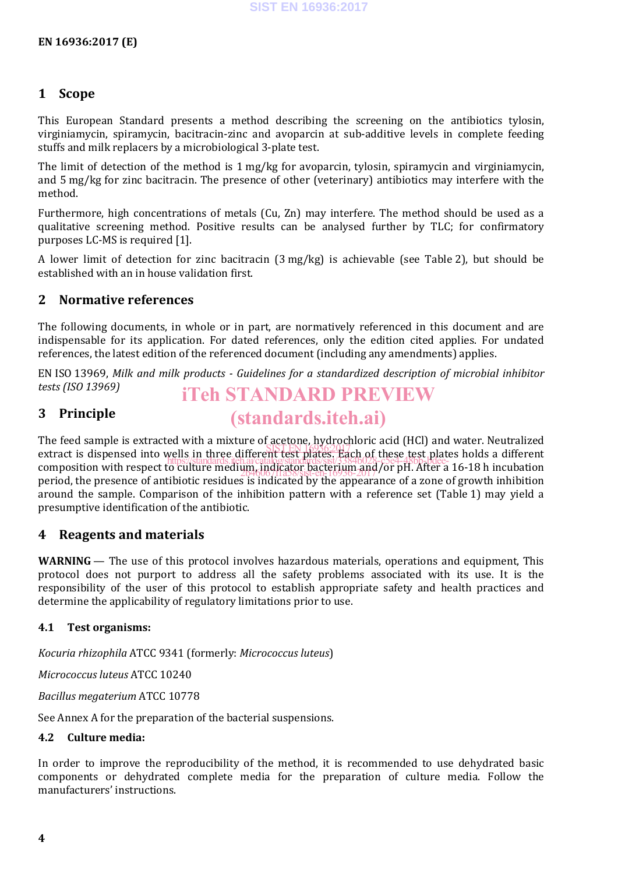#### **1 Scope**

This European Standard presents a method describing the screening on the antibiotics tylosin, virginiamycin, spiramycin, bacitracin-zinc and avoparcin at sub-additive levels in complete feeding stuffs and milk replacers by a microbiological 3-plate test.

The limit of detection of the method is 1 mg/kg for avoparcin, tylosin, spiramycin and virginiamycin, and 5 mg/kg for zinc bacitracin. The presence of other (veterinary) antibiotics may interfere with the method.

Furthermore, high concentrations of metals (Cu, Zn) may interfere. The method should be used as a qualitative screening method. Positive results can be analysed further by TLC; for confirmatory purposes LC-MS is required [1].

A lower limit of detection for zinc bacitracin (3 mg/kg) is achievable (see Table 2), but should be established with an in house validation first.

#### **2 Normative references**

The following documents, in whole or in part, are normatively referenced in this document and are indispensable for its application. For dated references, only the edition cited applies. For undated references, the latest edition of the referenced document (including any amendments) applies.

EN ISO 13969, *Milk and milk products - Guidelines for a standardized description of microbial inhibitor tests (ISO 13969)* iTeh STANDARD PREVIEW

#### **3 Principle**

(standards.iteh.ai)

The feed sample is extracted with a mixture of acetone, hydrochloric acid (HCl) and water. Neutralized extract is dispensed into wells in three different test plates. Each of these test plates holds a different<br>https://www.analysisman.com/wanded.com/wanded.com/wanded.com/wanded.com/wanded.com/wanded.com/wanded.com/wande composition with respect to culture medium, indicator bacterium and/or pH. After a 16-18 h incubation period, the presence of antibiotic residues is indicated by the appearance of a zone of growth inhibition around the sample. Comparison of the inhibition pattern with a reference set (Table 1) may yield a presumptive identification of the antibiotic. SIST EN 16936:2017 https://standards.iteh.ai/catalog/standards/sist/3384b028-c5e4-48bb-bdee-2b46067f1a58/sist-en-16936-2017

#### **4 Reagents and materials**

**WARNING** — The use of this protocol involves hazardous materials, operations and equipment, This protocol does not purport to address all the safety problems associated with its use. It is the responsibility of the user of this protocol to establish appropriate safety and health practices and determine the applicability of regulatory limitations prior to use.

#### **4.1 Test organisms:**

*Kocuria rhizophila* ATCC 9341 (formerly: *Micrococcus luteus*)

*Micrococcus luteus* ATCC 10240

*Bacillus megaterium* ATCC 10778

See Annex A for the preparation of the bacterial suspensions.

#### **4.2 Culture media:**

In order to improve the reproducibility of the method, it is recommended to use dehydrated basic components or dehydrated complete media for the preparation of culture media. Follow the manufacturers' instructions.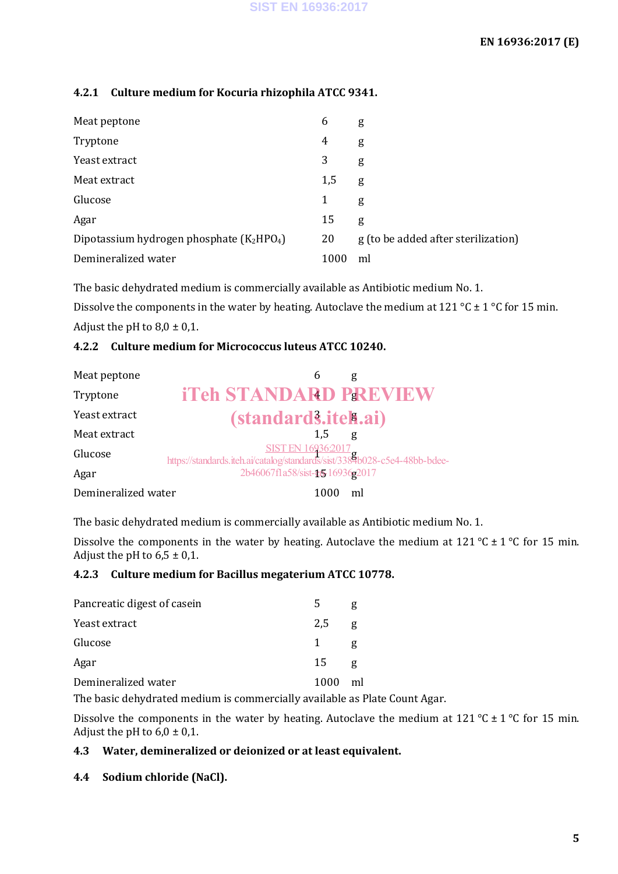| Meat peptone                                | 6    | g                                   |
|---------------------------------------------|------|-------------------------------------|
| Tryptone                                    | 4    | g                                   |
| Yeast extract                               | 3    | g                                   |
| Meat extract                                | 1,5  | g                                   |
| Glucose                                     | 1    | g                                   |
| Agar                                        | 15   | g                                   |
| Dipotassium hydrogen phosphate $(K_2HPO_4)$ | 20   | g (to be added after sterilization) |
| Demineralized water                         | 1000 | ml                                  |

#### **4.2.1 Culture medium for Kocuria rhizophila ATCC 9341.**

The basic dehydrated medium is commercially available as Antibiotic medium No. 1.

Dissolve the components in the water by heating. Autoclave the medium at 121 °C  $\pm$  1 °C for 15 min. Adjust the pH to  $8.0 \pm 0.1$ .

#### **4.2.2 Culture medium for Micrococcus luteus ATCC 10240.**

| Meat peptone        | 6<br>g                                                                                          |
|---------------------|-------------------------------------------------------------------------------------------------|
| Tryptone            | <b>iTeh STANDARD PREVIEW</b>                                                                    |
| Yeast extract       | (standard,siteh.ai)                                                                             |
| Meat extract        | 1.5<br>g                                                                                        |
| Glucose             | SIST EN 16936:2017<br>https://standards.iteh.ai/catalog/standards/sist/3384b028-c5e4-48bb-bdee- |
| Agar                | 2b46067f1a58/sist-d516936g2017                                                                  |
| Demineralized water | 1000<br>ml                                                                                      |

The basic dehydrated medium is commercially available as Antibiotic medium No. 1.

Dissolve the components in the water by heating. Autoclave the medium at  $121 \degree C \pm 1 \degree C$  for 15 min. Adjust the pH to  $6.5 \pm 0.1$ .

#### **4.2.3 Culture medium for Bacillus megaterium ATCC 10778.**

| Pancreatic digest of casein |      | g  |
|-----------------------------|------|----|
| Yeast extract               | 2,5  | g  |
| Glucose                     | 1    | g  |
| Agar                        | 15   | g  |
| Demineralized water         | 1000 | ml |

The basic dehydrated medium is commercially available as Plate Count Agar.

Dissolve the components in the water by heating. Autoclave the medium at  $121 \degree C \pm 1 \degree C$  for 15 min. Adjust the pH to  $6.0 \pm 0.1$ .

#### **4.3 Water, demineralized or deionized or at least equivalent.**

**4.4 Sodium chloride (NaCl).**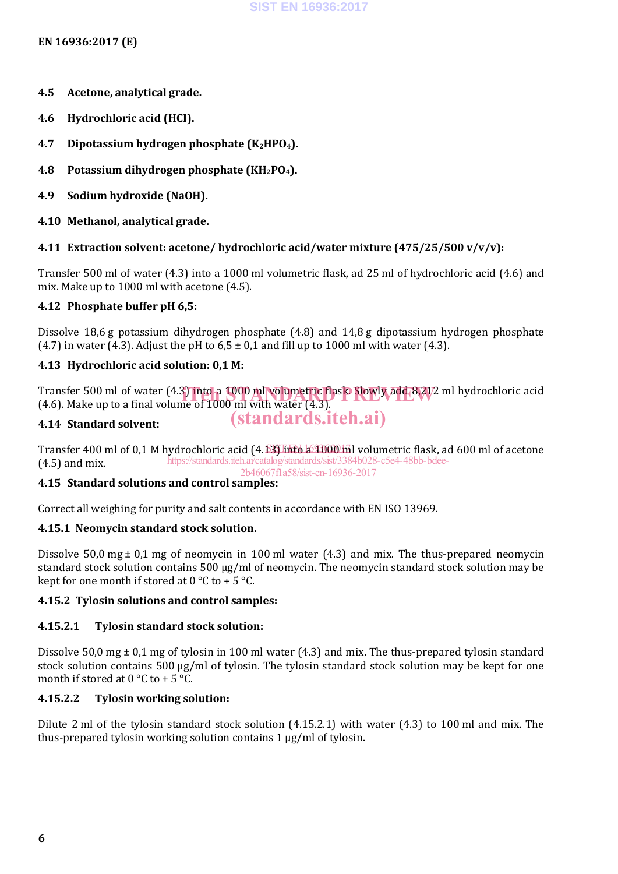- **4.5 Acetone, analytical grade.**
- **4.6 Hydrochloric acid (HCI).**
- **4.7 Dipotassium hydrogen phosphate (K2HPO4).**
- **4.8 Potassium dihydrogen phosphate (KH2PO4).**
- **4.9 Sodium hydroxide (NaOH).**
- **4.10 Methanol, analytical grade.**

#### **4.11 Extraction solvent: acetone/ hydrochloric acid/water mixture (475/25/500 v/v/v):**

Transfer 500 ml of water (4.3) into a 1000 ml volumetric flask, ad 25 ml of hydrochloric acid (4.6) and mix. Make up to 1000 ml with acetone (4.5).

#### **4.12 Phosphate buffer pH 6,5:**

Dissolve 18,6 g potassium dihydrogen phosphate (4.8) and 14,8 g dipotassium hydrogen phosphate (4.7) in water (4.3). Adjust the pH to  $6.5 \pm 0.1$  and fill up to 1000 ml with water (4.3).

#### **4.13 Hydrochloric acid solution: 0,1 M:**

Transfer 500 ml of water (4.3) into a 1000 ml volumetric flask. Slowly add 8,212 ml hydrochloric acid (4.6) Make un to a final volume of 1000 ml with water (4.3) (4.6). Make up to a final volume of 1000 ml with water (4.3).

(standards.iteh.ai)

#### **4.14 Standard solvent:**

Transfer 400 ml of 0,1 M hydrochloric acid (4.13) linto a 1000 ml volumetric flask, ad 600 ml of acetone (4.5) and mix. https://standards.iteh.ai/catalog/standards/sist/3384b028-c5e4-48bb-bdee-

2b46067f1a58/sist-en-16936-2017

#### **4.15 Standard solutions and control samples:**

Correct all weighing for purity and salt contents in accordance with EN ISO 13969.

#### **4.15.1 Neomycin standard stock solution.**

Dissolve 50,0 mg  $\pm$  0,1 mg of neomycin in 100 ml water (4.3) and mix. The thus-prepared neomycin standard stock solution contains 500 µg/ml of neomycin. The neomycin standard stock solution may be kept for one month if stored at  $0^{\circ}$ C to + 5  $^{\circ}$ C.

#### **4.15.2 Tylosin solutions and control samples:**

#### **4.15.2.1 Tylosin standard stock solution:**

Dissolve 50,0 mg ± 0,1 mg of tylosin in 100 ml water (4.3) and mix. The thus-prepared tylosin standard stock solution contains 500 µg/ml of tylosin. The tylosin standard stock solution may be kept for one month if stored at  $0^{\circ}$ C to + 5  $^{\circ}$ C.

#### **4.15.2.2 Tylosin working solution:**

Dilute 2 ml of the tylosin standard stock solution (4.15.2.1) with water (4.3) to 100 ml and mix. The thus-prepared tylosin working solution contains 1 µg/ml of tylosin.